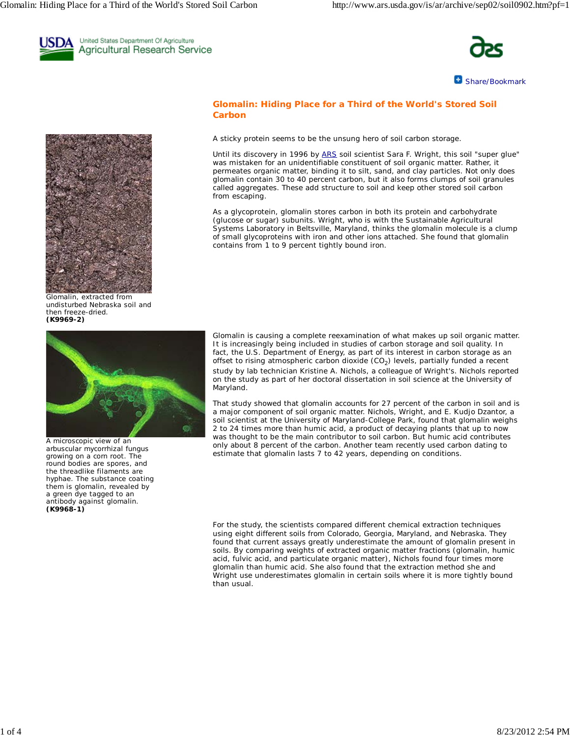

United States Department Of Agriculture Agricultural Research Service



Share/Bookmark



Glomalin, extracted from undisturbed Nebraska soil and then freeze-dried. **(K9969-2)**



A microscopic view of an arbuscular mycorrhizal fungus growing on a corn root. The round bodies are spores, and the threadlike filaments are hyphae. The substance coating them is glomalin, revealed by a green dye tagged to an antibody against glomalin. **(K9968-1)**

# **Glomalin: Hiding Place for a Third of the World's Stored Soil Carbon**

A sticky protein seems to be the unsung hero of soil carbon storage.

Until its discovery in 1996 by ARS soil scientist Sara F. Wright, this soil "super glue" was mistaken for an unidentifiable constituent of soil organic matter. Rather, it permeates organic matter, binding it to silt, sand, and clay particles. Not only does glomalin contain 30 to 40 percent carbon, but it also forms clumps of soil granules called aggregates. These add structure to soil and keep other stored soil carbon from escaping.

As a glycoprotein, glomalin stores carbon in both its protein and carbohydrate (glucose or sugar) subunits. Wright, who is with the Sustainable Agricultural Systems Laboratory in Beltsville, Maryland, thinks the glomalin molecule is a clump of small glycoproteins with iron and other ions attached. She found that glomalin contains from 1 to 9 percent tightly bound iron.

Glomalin is causing a complete reexamination of what makes up soil organic matter. It is increasingly being included in studies of carbon storage and soil quality. In fact, the U.S. Department of Energy, as part of its interest in carbon storage as an offset to rising atmospheric carbon dioxide  $(CO<sub>2</sub>)$  levels, partially funded a recent study by lab technician Kristine A. Nichols, a colleague of Wright's. Nichols reported on the study as part of her doctoral dissertation in soil science at the University of Maryland.

That study showed that glomalin accounts for 27 percent of the carbon in soil and is a major component of soil organic matter. Nichols, Wright, and E. Kudjo Dzantor, a soil scientist at the University of Maryland-College Park, found that glomalin weighs 2 to 24 times more than humic acid, a product of decaying plants that up to now was thought to be the main contributor to soil carbon. But humic acid contributes only about 8 percent of the carbon. Another team recently used carbon dating to estimate that glomalin lasts 7 to 42 years, depending on conditions.

 For the study, the scientists compared different chemical extraction techniques using eight different soils from Colorado, Georgia, Maryland, and Nebraska. They found that current assays greatly underestimate the amount of glomalin present in soils. By comparing weights of extracted organic matter fractions (glomalin, humic acid, fulvic acid, and particulate organic matter), Nichols found four times more glomalin than humic acid. She also found that the extraction method she and Wright use underestimates glomalin in certain soils where it is more tightly bound than usual.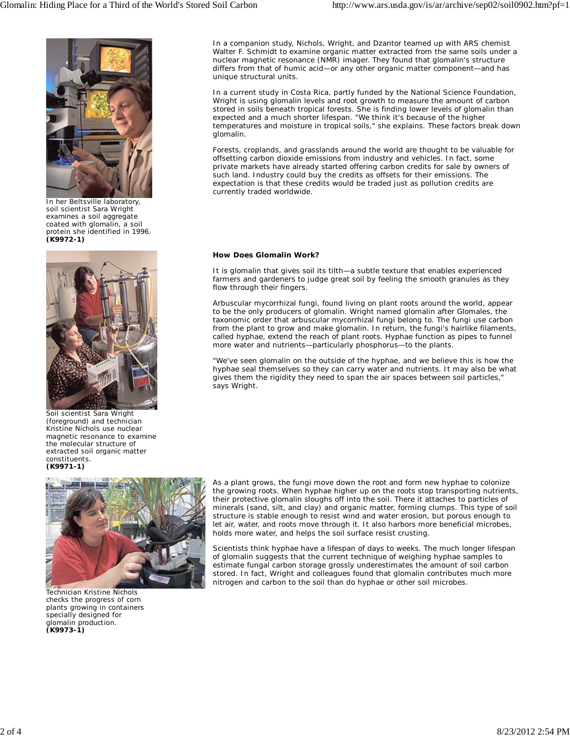

In her Beltsville laboratory, soil scientist Sara Wright examines a soil aggregate coated with glomalin, a soil protein she identified in 1996. **(K9972-1)**



Soil scientist Sara Wright (foreground) and technician Kristine Nichols use nuclear magnetic resonance to examine the molecular structure of extracted soil organic matter constituents. **(K9971-1)**



Technician Kristine Nichols checks the progress of corn plants growing in containers specially designed for glomalin production. **(K9973-1)**

In a companion study, Nichols, Wright, and Dzantor teamed up with ARS chemist Walter F. Schmidt to examine organic matter extracted from the same soils under a nuclear magnetic resonance (NMR) imager. They found that glomalin's structure differs from that of humic acid—or any other organic matter component—and has unique structural units.

In a current study in Costa Rica, partly funded by the National Science Foundation, Wright is using glomalin levels and root growth to measure the amount of carbon stored in soils beneath tropical forests. She is finding lower levels of glomalin than expected and a much shorter lifespan. "We think it's because of the higher temperatures and moisture in tropical soils," she explains. These factors break down glomalin.

Forests, croplands, and grasslands around the world are thought to be valuable for offsetting carbon dioxide emissions from industry and vehicles. In fact, some private markets have already started offering carbon credits for sale by owners of such land. Industry could buy the credits as offsets for their emissions. The expectation is that these credits would be traded just as pollution credits are currently traded worldwide.

## **How Does Glomalin Work?**

It is glomalin that gives soil its tilth—a subtle texture that enables experienced farmers and gardeners to judge great soil by feeling the smooth granules as they flow through their fingers.

Arbuscular mycorrhizal fungi, found living on plant roots around the world, appear to be the only producers of glomalin. Wright named glomalin after Glomales, the taxonomic order that arbuscular mycorrhizal fungi belong to. The fungi use carbon from the plant to grow and make glomalin. In return, the fungi's hairlike filaments, called hyphae, extend the reach of plant roots. Hyphae function as pipes to funnel more water and nutrients—particularly phosphorus—to the plants.

"We've seen glomalin on the outside of the hyphae, and we believe this is how the hyphae seal themselves so they can carry water and nutrients. It may also be what gives them the rigidity they need to span the air spaces between soil particles," says Wright.

As a plant grows, the fungi move down the root and form new hyphae to colonize the growing roots. When hyphae higher up on the roots stop transporting nutrients, their protective glomalin sloughs off into the soil. There it attaches to particles of minerals (sand, silt, and clay) and organic matter, forming clumps. This type of soil structure is stable enough to resist wind and water erosion, but porous enough to let air, water, and roots move through it. It also harbors more beneficial microbes, holds more water, and helps the soil surface resist crusting.

Scientists think hyphae have a lifespan of days to weeks. The much longer lifespan of glomalin suggests that the current technique of weighing hyphae samples to estimate fungal carbon storage grossly underestimates the amount of soil carbon stored. In fact, Wright and colleagues found that glomalin contributes much more nitrogen and carbon to the soil than do hyphae or other soil microbes.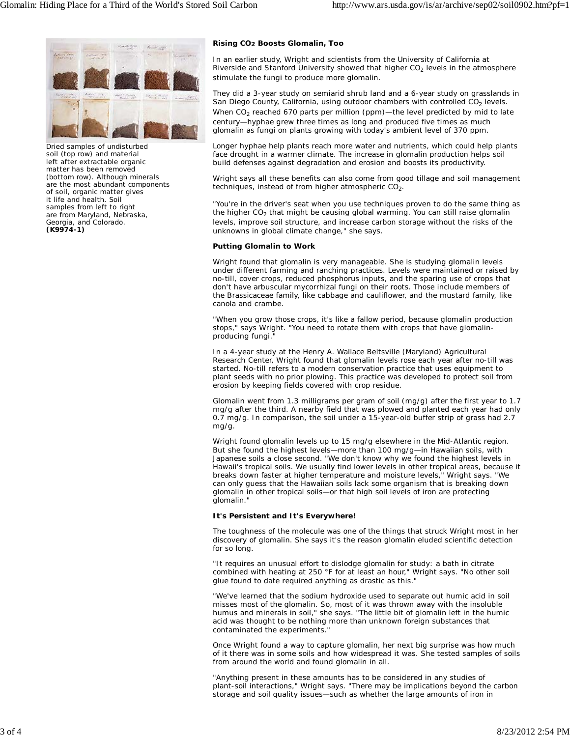

Dried samples of undisturbed soil (top row) and material left after extractable organic matter has been removed (bottom row). Although minerals are the most abundant components of soil, organic matter gives it life and health. Soil samples from left to right are from Maryland, Nebraska, Georgia, and Colorado. **(K9974-1)**

## **Rising CO2 Boosts Glomalin, Too**

In an earlier study, Wright and scientists from the University of California at Riverside and Stanford University showed that higher  $CO<sub>2</sub>$  levels in the atmosphere stimulate the fungi to produce more glomalin.

They did a 3-year study on semiarid shrub land and a 6-year study on grasslands in San Diego County, California, using outdoor chambers with controlled  $CO<sub>2</sub>$  levels. When  $CO<sub>2</sub>$  reached 670 parts per million (ppm)—the level predicted by mid to late century—hyphae grew three times as long and produced five times as much glomalin as fungi on plants growing with today's ambient level of 370 ppm.

Longer hyphae help plants reach more water and nutrients, which could help plants face drought in a warmer climate. The increase in glomalin production helps soil build defenses against degradation and erosion and boosts its productivity.

Wright says all these benefits can also come from good tillage and soil management techniques, instead of from higher atmospheric  $CO<sub>2</sub>$ .

"You're in the driver's seat when you use techniques proven to do the same thing as the higher  $CO<sub>2</sub>$  that might be causing global warming. You can still raise glomalin levels, improve soil structure, and increase carbon storage without the risks of the unknowns in global climate change," she says.

## **Putting Glomalin to Work**

Wright found that glomalin is very manageable. She is studying glomalin levels under different farming and ranching practices. Levels were maintained or raised by no-till, cover crops, reduced phosphorus inputs, and the sparing use of crops that don't have arbuscular mycorrhizal fungi on their roots. Those include members of the Brassicaceae family, like cabbage and cauliflower, and the mustard family, like canola and crambe.

"When you grow those crops, it's like a fallow period, because glomalin production stops," says Wright. "You need to rotate them with crops that have glomalinproducing fungi."

In a 4-year study at the Henry A. Wallace Beltsville (Maryland) Agricultural Research Center, Wright found that glomalin levels rose each year after no-till was started. No-till refers to a modern conservation practice that uses equipment to plant seeds with no prior plowing. This practice was developed to protect soil from erosion by keeping fields covered with crop residue.

Glomalin went from 1.3 milligrams per gram of soil (mg/g) after the first year to 1.7 mg/g after the third. A nearby field that was plowed and planted each year had only 0.7 mg/g. In comparison, the soil under a 15-year-old buffer strip of grass had 2.7 mg/g.

Wright found glomalin levels up to 15 mg/g elsewhere in the Mid-Atlantic region. But she found the highest levels—more than 100 mg/g—in Hawaiian soils, with Japanese soils a close second. "We don't know why we found the highest levels in Hawaii's tropical soils. We usually find lower levels in other tropical areas, because it breaks down faster at higher temperature and moisture levels," Wright says. "We can only guess that the Hawaiian soils lack some organism that is breaking down glomalin in other tropical soils—or that high soil levels of iron are protecting glomalin."

## **It's Persistent and It's Everywhere!**

The toughness of the molecule was one of the things that struck Wright most in her discovery of glomalin. She says it's the reason glomalin eluded scientific detection for so long.

"It requires an unusual effort to dislodge glomalin for study: a bath in citrate combined with heating at 250 °F for at least an hour," Wright says. "No other soil glue found to date required anything as drastic as this."

"We've learned that the sodium hydroxide used to separate out humic acid in soil misses most of the glomalin. So, most of it was thrown away with the insoluble humus and minerals in soil," she says. "The little bit of glomalin left in the humic acid was thought to be nothing more than unknown foreign substances that contaminated the experiments."

Once Wright found a way to capture glomalin, her next big surprise was how much of it there was in some soils and how widespread it was. She tested samples of soils from around the world and found glomalin in all.

"Anything present in these amounts has to be considered in any studies of plant-soil interactions," Wright says. "There may be implications beyond the carbon storage and soil quality issues—such as whether the large amounts of iron in